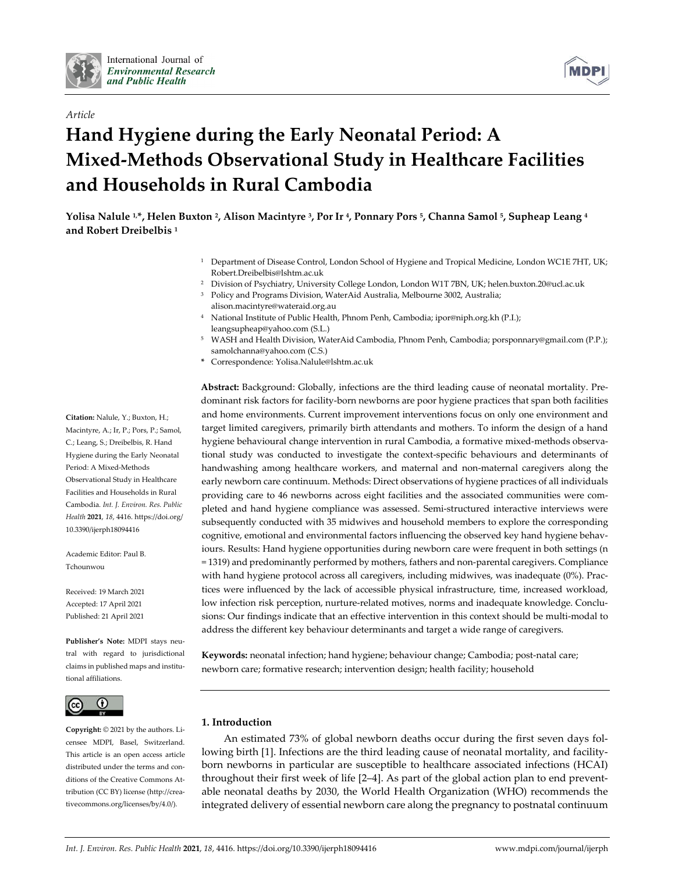

## *Article*

# **Hand Hygiene during the Early Neonatal Period: A Mixed-Methods Observational Study in Healthcare Facilities and Households in Rural Cambodia**

**Yolisa Nalule 1,\*, Helen Buxton 2, Alison Macintyre 3, Por Ir 4, Ponnary Pors 5, Channa Samol 5, Supheap Leang 4 and Robert Dreibelbis 1**

- <sup>1</sup> Department of Disease Control, London School of Hygiene and Tropical Medicine, London WC1E 7HT, UK; Robert.Dreibelbis@lshtm.ac.uk
- <sup>2</sup> Division of Psychiatry, University College London, London W1T 7BN, UK; helen.buxton.20@ucl.ac.uk
- <sup>3</sup> Policy and Programs Division, WaterAid Australia, Melbourne 3002, Australia; alison.macintyre@wateraid.org.au
- <sup>4</sup> National Institute of Public Health, Phnom Penh, Cambodia; ipor@niph.org.kh (P.I.); leangsupheap@yahoo.com (S.L.)
- <sup>5</sup> WASH and Health Division, WaterAid Cambodia, Phnom Penh, Cambodia; porsponnary@gmail.com (P.P.); samolchanna@yahoo.com (C.S.)
- **\*** Correspondence: Yolisa.Nalule@lshtm.ac.uk

**Abstract:** Background: Globally, infections are the third leading cause of neonatal mortality. Predominant risk factors for facility-born newborns are poor hygiene practices that span both facilities and home environments. Current improvement interventions focus on only one environment and target limited caregivers, primarily birth attendants and mothers. To inform the design of a hand hygiene behavioural change intervention in rural Cambodia, a formative mixed-methods observational study was conducted to investigate the context-specific behaviours and determinants of handwashing among healthcare workers, and maternal and non-maternal caregivers along the early newborn care continuum. Methods: Direct observations of hygiene practices of all individuals providing care to 46 newborns across eight facilities and the associated communities were completed and hand hygiene compliance was assessed. Semi-structured interactive interviews were subsequently conducted with 35 midwives and household members to explore the corresponding cognitive, emotional and environmental factors influencing the observed key hand hygiene behaviours. Results: Hand hygiene opportunities during newborn care were frequent in both settings (n = 1319) and predominantly performed by mothers, fathers and non-parental caregivers. Compliance with hand hygiene protocol across all caregivers, including midwives, was inadequate (0%). Practices were influenced by the lack of accessible physical infrastructure, time, increased workload, low infection risk perception, nurture-related motives, norms and inadequate knowledge. Conclusions: Our findings indicate that an effective intervention in this context should be multi-modal to address the different key behaviour determinants and target a wide range of caregivers.

**Keywords:** neonatal infection; hand hygiene; behaviour change; Cambodia; post-natal care; newborn care; formative research; intervention design; health facility; household

## **1. Introduction**

An estimated 73% of global newborn deaths occur during the first seven days following birth [1]. Infections are the third leading cause of neonatal mortality, and facilityborn newborns in particular are susceptible to healthcare associated infections (HCAI) throughout their first week of life [2–4]. As part of the global action plan to end preventable neonatal deaths by 2030, the World Health Organization (WHO) recommends the integrated delivery of essential newborn care along the pregnancy to postnatal continuum

**Citation:** Nalule, Y.; Buxton, H.; Macintyre, A.; Ir, P.; Pors, P.; Samol, C.; Leang, S.; Dreibelbis, R. Hand Hygiene during the Early Neonatal Period: A Mixed-Methods Observational Study in Healthcare Facilities and Households in Rural Cambodia. *Int. J. Environ. Res. Public Health* **2021**, *18*, 4416. https://doi.org/ 10.3390/ijerph18094416

Academic Editor: Paul B. Tchounwou

Received: 19 March 2021 Accepted: 17 April 2021 Published: 21 April 2021

**Publisher's Note:** MDPI stays neutral with regard to jurisdictional claims in published maps and institutional affiliations.



**Copyright:** © 2021 by the authors. Licensee MDPI, Basel, Switzerland. This article is an open access article distributed under the terms and conditions of the Creative Commons Attribution (CC BY) license (http://creativecommons.org/licenses/by/4.0/).

**MDP**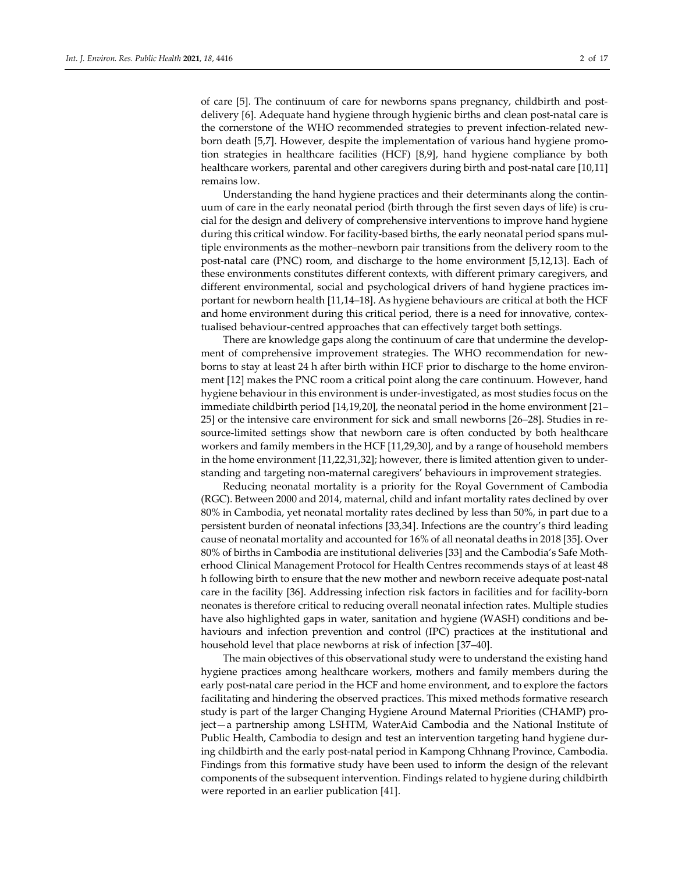of care [5]. The continuum of care for newborns spans pregnancy, childbirth and postdelivery [6]. Adequate hand hygiene through hygienic births and clean post-natal care is the cornerstone of the WHO recommended strategies to prevent infection-related newborn death [5,7]. However, despite the implementation of various hand hygiene promotion strategies in healthcare facilities (HCF) [8,9], hand hygiene compliance by both healthcare workers, parental and other caregivers during birth and post-natal care [10,11] remains low.

Understanding the hand hygiene practices and their determinants along the continuum of care in the early neonatal period (birth through the first seven days of life) is crucial for the design and delivery of comprehensive interventions to improve hand hygiene during this critical window. For facility-based births, the early neonatal period spans multiple environments as the mother–newborn pair transitions from the delivery room to the post-natal care (PNC) room, and discharge to the home environment [5,12,13]. Each of these environments constitutes different contexts, with different primary caregivers, and different environmental, social and psychological drivers of hand hygiene practices important for newborn health [11,14–18]. As hygiene behaviours are critical at both the HCF and home environment during this critical period, there is a need for innovative, contextualised behaviour-centred approaches that can effectively target both settings.

There are knowledge gaps along the continuum of care that undermine the development of comprehensive improvement strategies. The WHO recommendation for newborns to stay at least 24 h after birth within HCF prior to discharge to the home environment [12] makes the PNC room a critical point along the care continuum. However, hand hygiene behaviour in this environment is under-investigated, as most studies focus on the immediate childbirth period [14,19,20], the neonatal period in the home environment [21– 25] or the intensive care environment for sick and small newborns [26–28]. Studies in resource-limited settings show that newborn care is often conducted by both healthcare workers and family members in the HCF [11,29,30], and by a range of household members in the home environment [11,22,31,32]; however, there is limited attention given to understanding and targeting non-maternal caregivers' behaviours in improvement strategies.

Reducing neonatal mortality is a priority for the Royal Government of Cambodia (RGC). Between 2000 and 2014, maternal, child and infant mortality rates declined by over 80% in Cambodia, yet neonatal mortality rates declined by less than 50%, in part due to a persistent burden of neonatal infections [33,34]. Infections are the country's third leading cause of neonatal mortality and accounted for 16% of all neonatal deaths in 2018 [35]. Over 80% of births in Cambodia are institutional deliveries [33] and the Cambodia's Safe Motherhood Clinical Management Protocol for Health Centres recommends stays of at least 48 h following birth to ensure that the new mother and newborn receive adequate post-natal care in the facility [36]. Addressing infection risk factors in facilities and for facility-born neonates is therefore critical to reducing overall neonatal infection rates. Multiple studies have also highlighted gaps in water, sanitation and hygiene (WASH) conditions and behaviours and infection prevention and control (IPC) practices at the institutional and household level that place newborns at risk of infection [37–40].

The main objectives of this observational study were to understand the existing hand hygiene practices among healthcare workers, mothers and family members during the early post-natal care period in the HCF and home environment, and to explore the factors facilitating and hindering the observed practices. This mixed methods formative research study is part of the larger Changing Hygiene Around Maternal Priorities (CHAMP) project—a partnership among LSHTM, WaterAid Cambodia and the National Institute of Public Health, Cambodia to design and test an intervention targeting hand hygiene during childbirth and the early post-natal period in Kampong Chhnang Province, Cambodia. Findings from this formative study have been used to inform the design of the relevant components of the subsequent intervention. Findings related to hygiene during childbirth were reported in an earlier publication [41].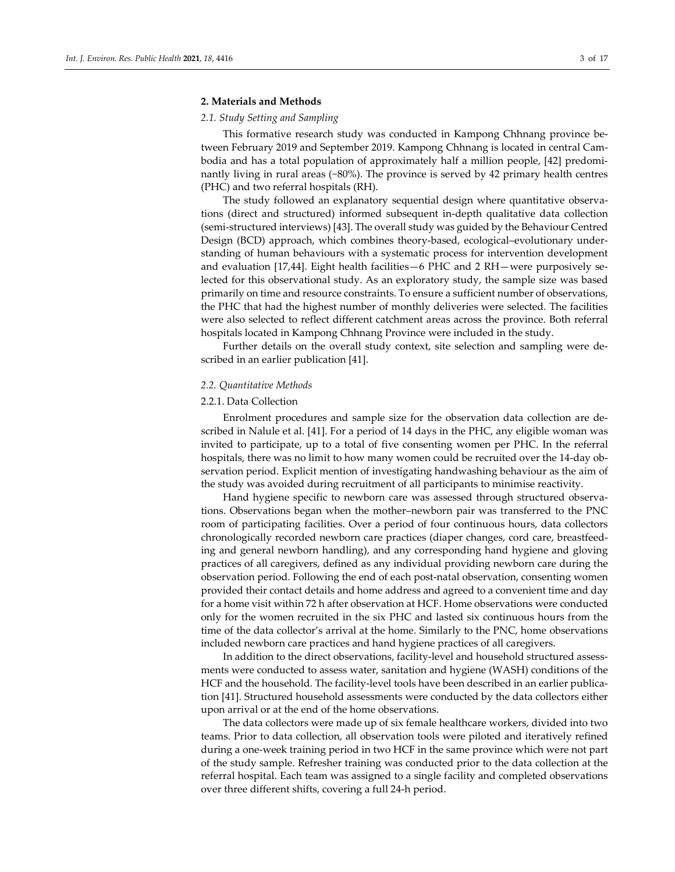## **2. Materials and Methods**

#### *2.1. Study Setting and Sampling*

This formative research study was conducted in Kampong Chhnang province between February 2019 and September 2019. Kampong Chhnang is located in central Cambodia and has a total population of approximately half a million people, [42] predominantly living in rural areas (~80%). The province is served by 42 primary health centres (PHC) and two referral hospitals (RH).

The study followed an explanatory sequential design where quantitative observations (direct and structured) informed subsequent in-depth qualitative data collection (semi-structured interviews) [43]. The overall study was guided by the Behaviour Centred Design (BCD) approach, which combines theory-based, ecological–evolutionary understanding of human behaviours with a systematic process for intervention development and evaluation [17,44]. Eight health facilities—6 PHC and 2 RH—were purposively selected for this observational study. As an exploratory study, the sample size was based primarily on time and resource constraints. To ensure a sufficient number of observations, the PHC that had the highest number of monthly deliveries were selected. The facilities were also selected to reflect different catchment areas across the province. Both referral hospitals located in Kampong Chhnang Province were included in the study.

Further details on the overall study context, site selection and sampling were described in an earlier publication [41].

#### *2.2. Quantitative Methods*

#### 2.2.1. Data Collection

Enrolment procedures and sample size for the observation data collection are described in Nalule et al. [41]. For a period of 14 days in the PHC, any eligible woman was invited to participate, up to a total of five consenting women per PHC. In the referral hospitals, there was no limit to how many women could be recruited over the 14-day observation period. Explicit mention of investigating handwashing behaviour as the aim of the study was avoided during recruitment of all participants to minimise reactivity.

Hand hygiene specific to newborn care was assessed through structured observations. Observations began when the mother–newborn pair was transferred to the PNC room of participating facilities. Over a period of four continuous hours, data collectors chronologically recorded newborn care practices (diaper changes, cord care, breastfeeding and general newborn handling), and any corresponding hand hygiene and gloving practices of all caregivers, defined as any individual providing newborn care during the observation period. Following the end of each post-natal observation, consenting women provided their contact details and home address and agreed to a convenient time and day for a home visit within 72 h after observation at HCF. Home observations were conducted only for the women recruited in the six PHC and lasted six continuous hours from the time of the data collector's arrival at the home. Similarly to the PNC, home observations included newborn care practices and hand hygiene practices of all caregivers.

In addition to the direct observations, facility-level and household structured assessments were conducted to assess water, sanitation and hygiene (WASH) conditions of the HCF and the household. The facility-level tools have been described in an earlier publication [41]. Structured household assessments were conducted by the data collectors either upon arrival or at the end of the home observations.

The data collectors were made up of six female healthcare workers, divided into two teams. Prior to data collection, all observation tools were piloted and iteratively refined during a one-week training period in two HCF in the same province which were not part of the study sample. Refresher training was conducted prior to the data collection at the referral hospital. Each team was assigned to a single facility and completed observations over three different shifts, covering a full 24-h period.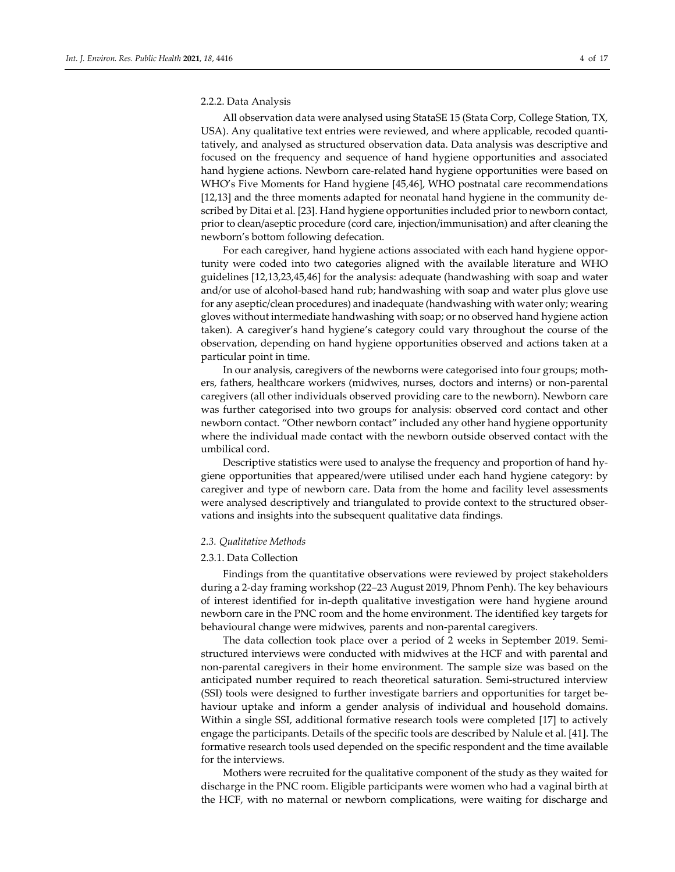#### 2.2.2. Data Analysis

All observation data were analysed using StataSE 15 (Stata Corp, College Station, TX, USA). Any qualitative text entries were reviewed, and where applicable, recoded quantitatively, and analysed as structured observation data. Data analysis was descriptive and focused on the frequency and sequence of hand hygiene opportunities and associated hand hygiene actions. Newborn care-related hand hygiene opportunities were based on WHO's Five Moments for Hand hygiene [45,46], WHO postnatal care recommendations [12,13] and the three moments adapted for neonatal hand hygiene in the community described by Ditai et al. [23]. Hand hygiene opportunities included prior to newborn contact, prior to clean/aseptic procedure (cord care, injection/immunisation) and after cleaning the newborn's bottom following defecation.

For each caregiver, hand hygiene actions associated with each hand hygiene opportunity were coded into two categories aligned with the available literature and WHO guidelines [12,13,23,45,46] for the analysis: adequate (handwashing with soap and water and/or use of alcohol-based hand rub; handwashing with soap and water plus glove use for any aseptic/clean procedures) and inadequate (handwashing with water only; wearing gloves without intermediate handwashing with soap; or no observed hand hygiene action taken). A caregiver's hand hygiene's category could vary throughout the course of the observation, depending on hand hygiene opportunities observed and actions taken at a particular point in time.

In our analysis, caregivers of the newborns were categorised into four groups; mothers, fathers, healthcare workers (midwives, nurses, doctors and interns) or non-parental caregivers (all other individuals observed providing care to the newborn). Newborn care was further categorised into two groups for analysis: observed cord contact and other newborn contact. "Other newborn contact" included any other hand hygiene opportunity where the individual made contact with the newborn outside observed contact with the umbilical cord.

Descriptive statistics were used to analyse the frequency and proportion of hand hygiene opportunities that appeared/were utilised under each hand hygiene category: by caregiver and type of newborn care. Data from the home and facility level assessments were analysed descriptively and triangulated to provide context to the structured observations and insights into the subsequent qualitative data findings.

## *2.3. Qualitative Methods*

## 2.3.1. Data Collection

Findings from the quantitative observations were reviewed by project stakeholders during a 2-day framing workshop (22–23 August 2019, Phnom Penh). The key behaviours of interest identified for in-depth qualitative investigation were hand hygiene around newborn care in the PNC room and the home environment. The identified key targets for behavioural change were midwives, parents and non-parental caregivers.

The data collection took place over a period of 2 weeks in September 2019. Semistructured interviews were conducted with midwives at the HCF and with parental and non-parental caregivers in their home environment. The sample size was based on the anticipated number required to reach theoretical saturation. Semi-structured interview (SSI) tools were designed to further investigate barriers and opportunities for target behaviour uptake and inform a gender analysis of individual and household domains. Within a single SSI, additional formative research tools were completed [17] to actively engage the participants. Details of the specific tools are described by Nalule et al. [41]. The formative research tools used depended on the specific respondent and the time available for the interviews.

Mothers were recruited for the qualitative component of the study as they waited for discharge in the PNC room. Eligible participants were women who had a vaginal birth at the HCF, with no maternal or newborn complications, were waiting for discharge and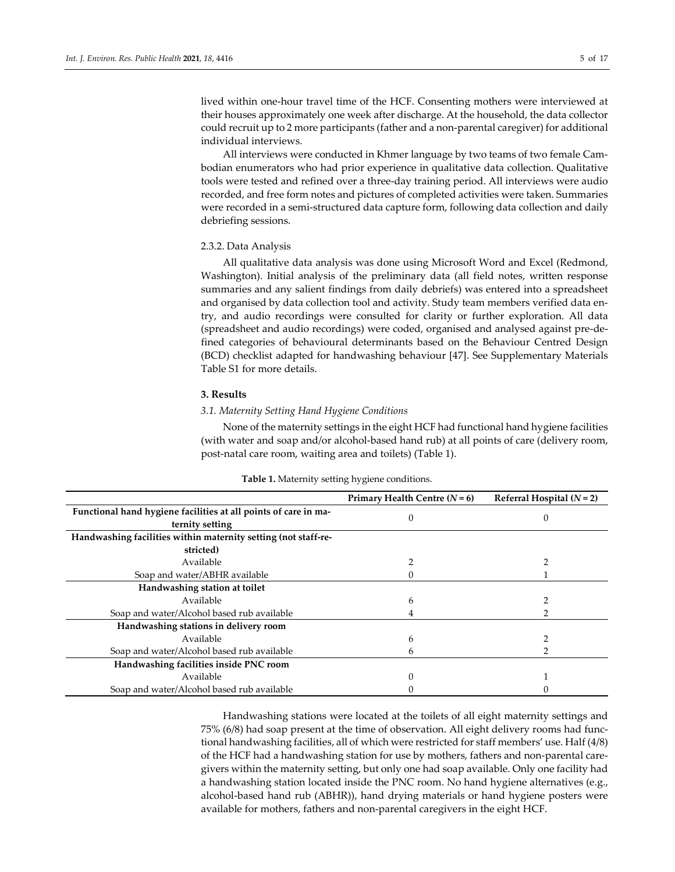lived within one-hour travel time of the HCF. Consenting mothers were interviewed at their houses approximately one week after discharge. At the household, the data collector could recruit up to 2 more participants (father and a non-parental caregiver) for additional individual interviews.

All interviews were conducted in Khmer language by two teams of two female Cambodian enumerators who had prior experience in qualitative data collection. Qualitative tools were tested and refined over a three-day training period. All interviews were audio recorded, and free form notes and pictures of completed activities were taken. Summaries were recorded in a semi-structured data capture form, following data collection and daily debriefing sessions.

## 2.3.2. Data Analysis

All qualitative data analysis was done using Microsoft Word and Excel (Redmond, Washington). Initial analysis of the preliminary data (all field notes, written response summaries and any salient findings from daily debriefs) was entered into a spreadsheet and organised by data collection tool and activity. Study team members verified data entry, and audio recordings were consulted for clarity or further exploration. All data (spreadsheet and audio recordings) were coded, organised and analysed against pre-defined categories of behavioural determinants based on the Behaviour Centred Design (BCD) checklist adapted for handwashing behaviour [47]. See Supplementary Materials Table S1 for more details.

#### **3. Results**

## *3.1. Maternity Setting Hand Hygiene Conditions*

None of the maternity settings in the eight HCF had functional hand hygiene facilities (with water and soap and/or alcohol-based hand rub) at all points of care (delivery room, post-natal care room, waiting area and toilets) (Table 1).

|                                                                                    | Primary Health Centre $(N=6)$ | Referral Hospital $(N = 2)$ |
|------------------------------------------------------------------------------------|-------------------------------|-----------------------------|
| Functional hand hygiene facilities at all points of care in ma-<br>ternity setting | $\Omega$                      | 0                           |
| Handwashing facilities within maternity setting (not staff-re-                     |                               |                             |
| stricted)                                                                          |                               |                             |
| Available                                                                          |                               |                             |
| Soap and water/ABHR available                                                      |                               |                             |
| Handwashing station at toilet                                                      |                               |                             |
| Available                                                                          | 6                             |                             |
| Soap and water/Alcohol based rub available                                         |                               |                             |
| Handwashing stations in delivery room                                              |                               |                             |
| Available                                                                          | 6                             |                             |
| Soap and water/Alcohol based rub available                                         | b                             |                             |
| Handwashing facilities inside PNC room                                             |                               |                             |
| Available                                                                          | 0                             |                             |
| Soap and water/Alcohol based rub available                                         |                               |                             |

## **Table 1.** Maternity setting hygiene conditions.

Handwashing stations were located at the toilets of all eight maternity settings and 75% (6/8) had soap present at the time of observation. All eight delivery rooms had functional handwashing facilities, all of which were restricted for staff members' use. Half (4/8) of the HCF had a handwashing station for use by mothers, fathers and non-parental caregivers within the maternity setting, but only one had soap available. Only one facility had a handwashing station located inside the PNC room. No hand hygiene alternatives (e.g., alcohol-based hand rub (ABHR)), hand drying materials or hand hygiene posters were available for mothers, fathers and non-parental caregivers in the eight HCF.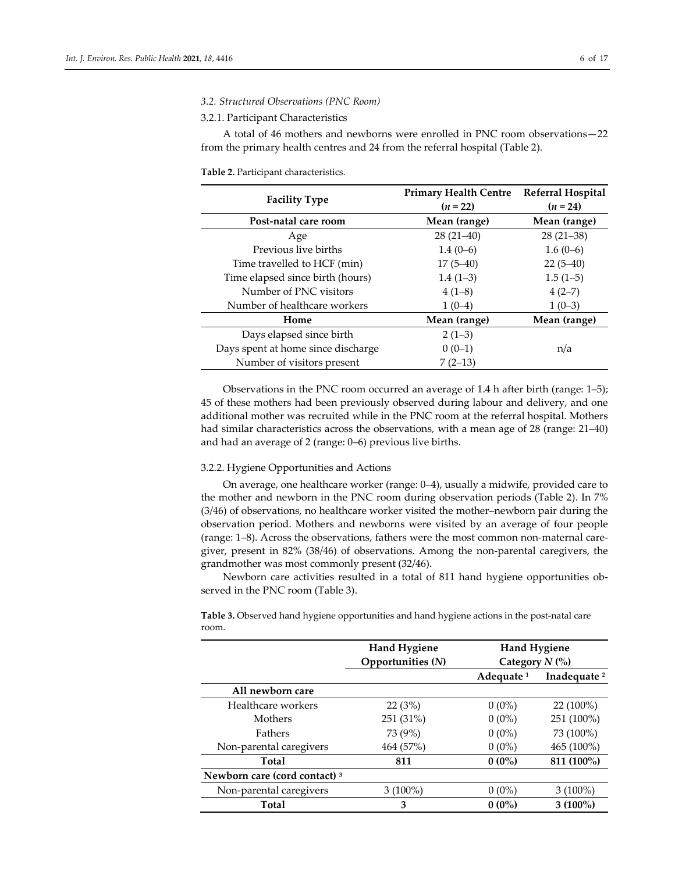#### *3.2. Structured Observations (PNC Room)*

#### 3.2.1. Participant Characteristics

A total of 46 mothers and newborns were enrolled in PNC room observations—22 from the primary health centres and 24 from the referral hospital (Table 2).

#### **Table 2.** Participant characteristics.

|                                    | <b>Primary Health Centre</b> | <b>Referral Hospital</b> |
|------------------------------------|------------------------------|--------------------------|
| <b>Facility Type</b>               | $(n = 22)$                   | $(n = 24)$               |
| Post-natal care room               | Mean (range)                 | Mean (range)             |
| Age                                | $28(21-40)$                  | $28(21-38)$              |
| Previous live births               | $1.4(0-6)$                   | $1.6(0-6)$               |
| Time travelled to HCF (min)        | $17(5-40)$                   | $22(5-40)$               |
| Time elapsed since birth (hours)   | $1.4(1-3)$                   | $1.5(1-5)$               |
| Number of PNC visitors             | $4(1-8)$                     | $4(2-7)$                 |
| Number of healthcare workers       | $1(0-4)$                     | $1(0-3)$                 |
| Home                               | Mean (range)                 | Mean (range)             |
| Days elapsed since birth           | $2(1-3)$                     |                          |
| Days spent at home since discharge | $0(0-1)$                     | n/a                      |
| Number of visitors present         | $7(2-13)$                    |                          |

Observations in the PNC room occurred an average of 1.4 h after birth (range: 1–5); 45 of these mothers had been previously observed during labour and delivery, and one additional mother was recruited while in the PNC room at the referral hospital. Mothers had similar characteristics across the observations, with a mean age of 28 (range: 21–40) and had an average of 2 (range: 0–6) previous live births.

#### 3.2.2. Hygiene Opportunities and Actions

On average, one healthcare worker (range: 0–4), usually a midwife, provided care to the mother and newborn in the PNC room during observation periods (Table 2). In 7% (3/46) of observations, no healthcare worker visited the mother–newborn pair during the observation period. Mothers and newborns were visited by an average of four people (range: 1–8). Across the observations, fathers were the most common non-maternal caregiver, present in 82% (38/46) of observations. Among the non-parental caregivers, the grandmother was most commonly present (32/46).

Newborn care activities resulted in a total of 811 hand hygiene opportunities observed in the PNC room (Table 3).

**Table 3.** Observed hand hygiene opportunities and hand hygiene actions in the post-natal care room.

| <b>Hand Hygiene</b> | <b>Hand Hygiene</b>   |                         |
|---------------------|-----------------------|-------------------------|
| Opportunities (N)   |                       |                         |
|                     | Adequate <sup>1</sup> | Inadequate <sup>2</sup> |
|                     |                       |                         |
| 22(3%)              | $0(0\%)$              | $22(100\%)$             |
| 251 (31%)           | $0(0\%)$              | 251 (100%)              |
| 73 (9%)             | $0(0\%)$              | 73 (100%)               |
| 464 (57%)           | $0(0\%)$              | 465 (100%)              |
| 811                 | $0(0\%)$              | 811 (100%)              |
|                     |                       |                         |
| $3(100\%)$          | $0(0\%)$              | $3(100\%)$              |
| 3                   | $0(0\%)$              | $3(100\%)$              |
|                     |                       | Category $N$ (%)        |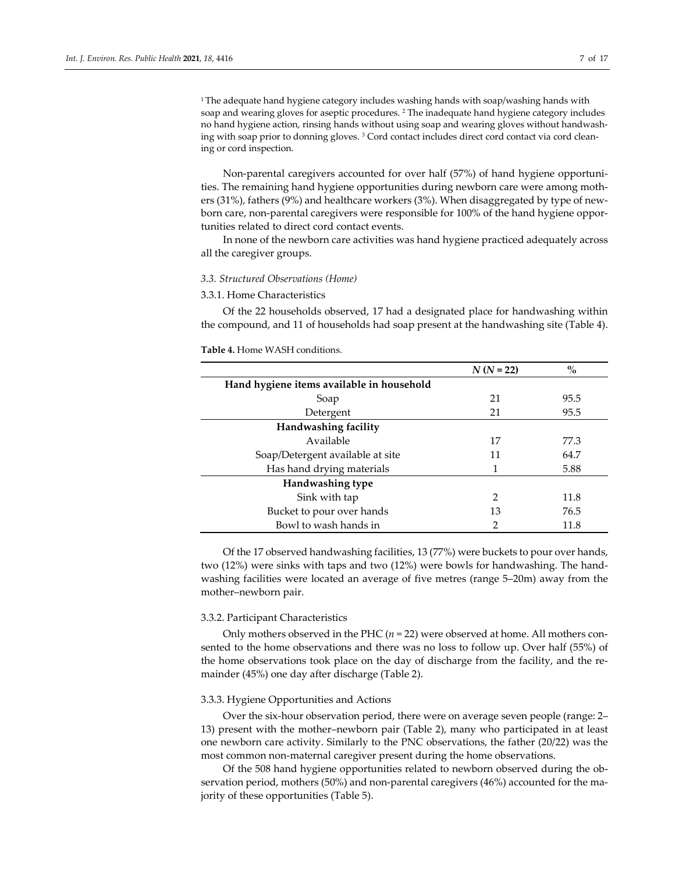<sup>1</sup> The adequate hand hygiene category includes washing hands with soap/washing hands with soap and wearing gloves for aseptic procedures. <sup>2</sup> The inadequate hand hygiene category includes no hand hygiene action, rinsing hands without using soap and wearing gloves without handwashing with soap prior to donning gloves. <sup>3</sup> Cord contact includes direct cord contact via cord cleaning or cord inspection.

Non-parental caregivers accounted for over half (57%) of hand hygiene opportunities. The remaining hand hygiene opportunities during newborn care were among mothers (31%), fathers (9%) and healthcare workers (3%). When disaggregated by type of newborn care, non-parental caregivers were responsible for 100% of the hand hygiene opportunities related to direct cord contact events.

In none of the newborn care activities was hand hygiene practiced adequately across all the caregiver groups.

## *3.3. Structured Observations (Home)*

## 3.3.1. Home Characteristics

Of the 22 households observed, 17 had a designated place for handwashing within the compound, and 11 of households had soap present at the handwashing site (Table 4).

|                                           | $N(N = 22)$   | $\frac{0}{0}$ |
|-------------------------------------------|---------------|---------------|
| Hand hygiene items available in household |               |               |
| Soap                                      | 21            | 95.5          |
| Detergent                                 | 21            | 95.5          |
| Handwashing facility                      |               |               |
| Available                                 | 17            | 77.3          |
| Soap/Detergent available at site          | 11            | 64.7          |
| Has hand drying materials                 | 1             | 5.88          |
| Handwashing type                          |               |               |
| Sink with tap                             | $\mathcal{P}$ | 11.8          |
| Bucket to pour over hands                 | 13            | 76.5          |
| Bowl to wash hands in                     | $\mathcal{P}$ | 11.8          |

**Table 4.** Home WASH conditions.

Of the 17 observed handwashing facilities, 13 (77%) were buckets to pour over hands, two (12%) were sinks with taps and two (12%) were bowls for handwashing. The handwashing facilities were located an average of five metres (range 5–20m) away from the mother–newborn pair.

#### 3.3.2. Participant Characteristics

Only mothers observed in the PHC  $(n = 22)$  were observed at home. All mothers consented to the home observations and there was no loss to follow up. Over half (55%) of the home observations took place on the day of discharge from the facility, and the remainder (45%) one day after discharge (Table 2).

#### 3.3.3. Hygiene Opportunities and Actions

Over the six-hour observation period, there were on average seven people (range: 2– 13) present with the mother–newborn pair (Table 2), many who participated in at least one newborn care activity. Similarly to the PNC observations, the father (20/22) was the most common non-maternal caregiver present during the home observations.

Of the 508 hand hygiene opportunities related to newborn observed during the observation period, mothers (50%) and non-parental caregivers (46%) accounted for the majority of these opportunities (Table 5).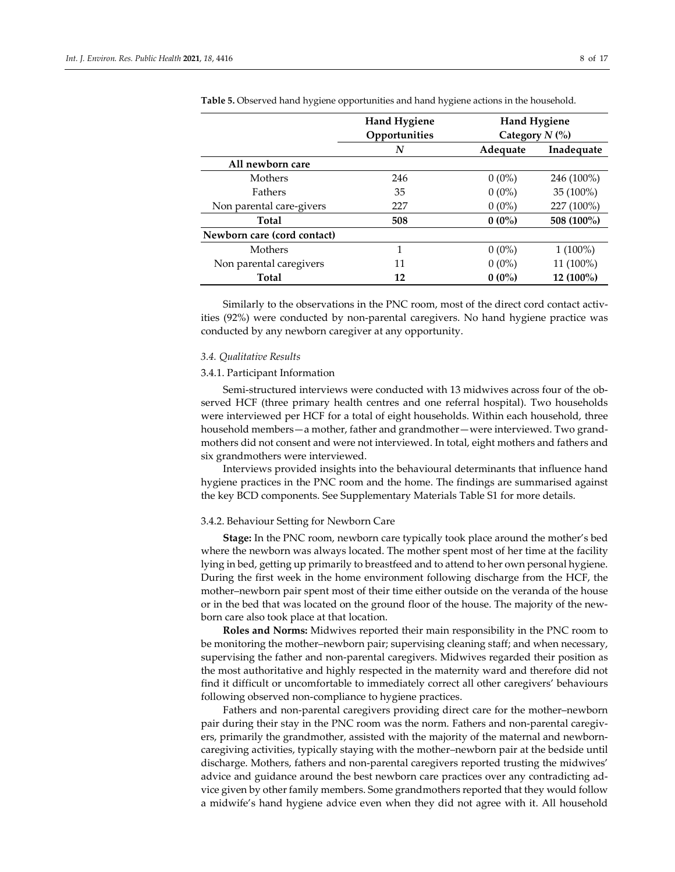|                             | <b>Hand Hygiene</b> | <b>Hand Hygiene</b><br>Category $N$ (%) |             |
|-----------------------------|---------------------|-----------------------------------------|-------------|
|                             | Opportunities       |                                         |             |
|                             | N                   | Adequate                                | Inadequate  |
| All newborn care            |                     |                                         |             |
| Mothers                     | 246                 | $0(0\%)$                                | 246 (100%)  |
| Fathers                     | 35                  | $0(0\%)$                                | $35(100\%)$ |
| Non parental care-givers    | 227                 | $0(0\%)$                                | 227 (100%)  |
| Total                       | 508                 | $0(0\%)$                                | 508 (100%)  |
| Newborn care (cord contact) |                     |                                         |             |
| Mothers                     | 1                   | $0(0\%)$                                | $1(100\%)$  |
| Non parental caregivers     | 11                  | $0(0\%)$                                | 11 (100%)   |
| <b>Total</b>                | 12                  | $0(0\%)$                                | 12 (100%)   |

**Table 5.** Observed hand hygiene opportunities and hand hygiene actions in the household.

Similarly to the observations in the PNC room, most of the direct cord contact activities (92%) were conducted by non-parental caregivers. No hand hygiene practice was conducted by any newborn caregiver at any opportunity.

#### *3.4. Qualitative Results*

#### 3.4.1. Participant Information

Semi-structured interviews were conducted with 13 midwives across four of the observed HCF (three primary health centres and one referral hospital). Two households were interviewed per HCF for a total of eight households. Within each household, three household members—a mother, father and grandmother—were interviewed. Two grandmothers did not consent and were not interviewed. In total, eight mothers and fathers and six grandmothers were interviewed.

Interviews provided insights into the behavioural determinants that influence hand hygiene practices in the PNC room and the home. The findings are summarised against the key BCD components. See Supplementary Materials Table S1 for more details.

#### 3.4.2. Behaviour Setting for Newborn Care

**Stage:** In the PNC room, newborn care typically took place around the mother's bed where the newborn was always located. The mother spent most of her time at the facility lying in bed, getting up primarily to breastfeed and to attend to her own personal hygiene. During the first week in the home environment following discharge from the HCF, the mother–newborn pair spent most of their time either outside on the veranda of the house or in the bed that was located on the ground floor of the house. The majority of the newborn care also took place at that location.

**Roles and Norms:** Midwives reported their main responsibility in the PNC room to be monitoring the mother–newborn pair; supervising cleaning staff; and when necessary, supervising the father and non-parental caregivers. Midwives regarded their position as the most authoritative and highly respected in the maternity ward and therefore did not find it difficult or uncomfortable to immediately correct all other caregivers' behaviours following observed non-compliance to hygiene practices.

Fathers and non-parental caregivers providing direct care for the mother–newborn pair during their stay in the PNC room was the norm. Fathers and non-parental caregivers, primarily the grandmother, assisted with the majority of the maternal and newborncaregiving activities, typically staying with the mother–newborn pair at the bedside until discharge. Mothers, fathers and non-parental caregivers reported trusting the midwives' advice and guidance around the best newborn care practices over any contradicting advice given by other family members. Some grandmothers reported that they would follow a midwife's hand hygiene advice even when they did not agree with it. All household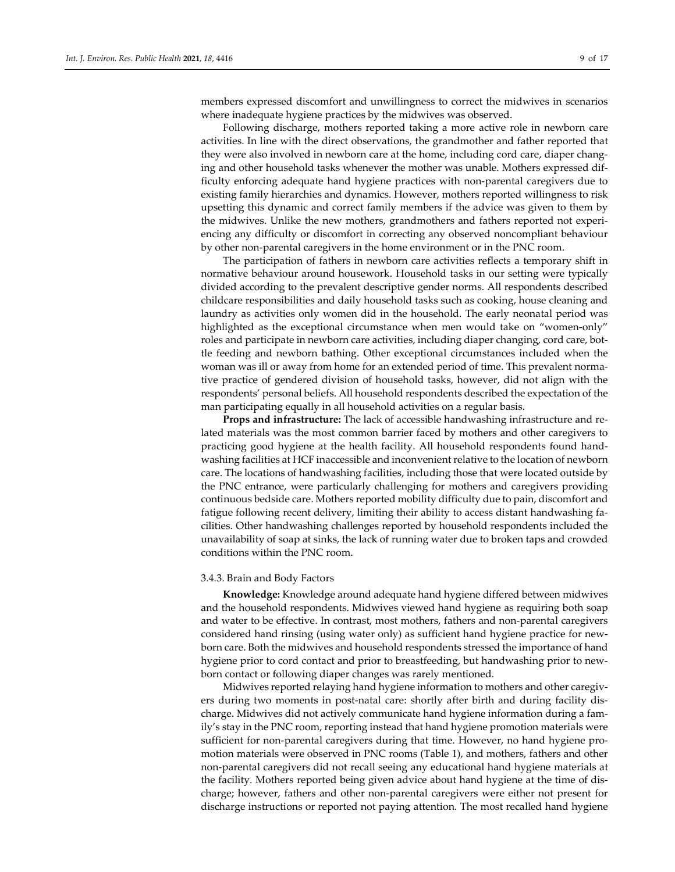members expressed discomfort and unwillingness to correct the midwives in scenarios where inadequate hygiene practices by the midwives was observed.

Following discharge, mothers reported taking a more active role in newborn care activities. In line with the direct observations, the grandmother and father reported that they were also involved in newborn care at the home, including cord care, diaper changing and other household tasks whenever the mother was unable. Mothers expressed difficulty enforcing adequate hand hygiene practices with non-parental caregivers due to existing family hierarchies and dynamics. However, mothers reported willingness to risk upsetting this dynamic and correct family members if the advice was given to them by the midwives. Unlike the new mothers, grandmothers and fathers reported not experiencing any difficulty or discomfort in correcting any observed noncompliant behaviour by other non-parental caregivers in the home environment or in the PNC room.

The participation of fathers in newborn care activities reflects a temporary shift in normative behaviour around housework. Household tasks in our setting were typically divided according to the prevalent descriptive gender norms. All respondents described childcare responsibilities and daily household tasks such as cooking, house cleaning and laundry as activities only women did in the household. The early neonatal period was highlighted as the exceptional circumstance when men would take on "women-only" roles and participate in newborn care activities, including diaper changing, cord care, bottle feeding and newborn bathing. Other exceptional circumstances included when the woman was ill or away from home for an extended period of time. This prevalent normative practice of gendered division of household tasks, however, did not align with the respondents' personal beliefs. All household respondents described the expectation of the man participating equally in all household activities on a regular basis.

**Props and infrastructure:** The lack of accessible handwashing infrastructure and related materials was the most common barrier faced by mothers and other caregivers to practicing good hygiene at the health facility. All household respondents found handwashing facilities at HCF inaccessible and inconvenient relative to the location of newborn care. The locations of handwashing facilities, including those that were located outside by the PNC entrance, were particularly challenging for mothers and caregivers providing continuous bedside care. Mothers reported mobility difficulty due to pain, discomfort and fatigue following recent delivery, limiting their ability to access distant handwashing facilities. Other handwashing challenges reported by household respondents included the unavailability of soap at sinks, the lack of running water due to broken taps and crowded conditions within the PNC room.

#### 3.4.3. Brain and Body Factors

**Knowledge:** Knowledge around adequate hand hygiene differed between midwives and the household respondents. Midwives viewed hand hygiene as requiring both soap and water to be effective. In contrast, most mothers, fathers and non-parental caregivers considered hand rinsing (using water only) as sufficient hand hygiene practice for newborn care. Both the midwives and household respondents stressed the importance of hand hygiene prior to cord contact and prior to breastfeeding, but handwashing prior to newborn contact or following diaper changes was rarely mentioned.

Midwives reported relaying hand hygiene information to mothers and other caregivers during two moments in post-natal care: shortly after birth and during facility discharge. Midwives did not actively communicate hand hygiene information during a family's stay in the PNC room, reporting instead that hand hygiene promotion materials were sufficient for non-parental caregivers during that time. However, no hand hygiene promotion materials were observed in PNC rooms (Table 1), and mothers, fathers and other non-parental caregivers did not recall seeing any educational hand hygiene materials at the facility. Mothers reported being given advice about hand hygiene at the time of discharge; however, fathers and other non-parental caregivers were either not present for discharge instructions or reported not paying attention. The most recalled hand hygiene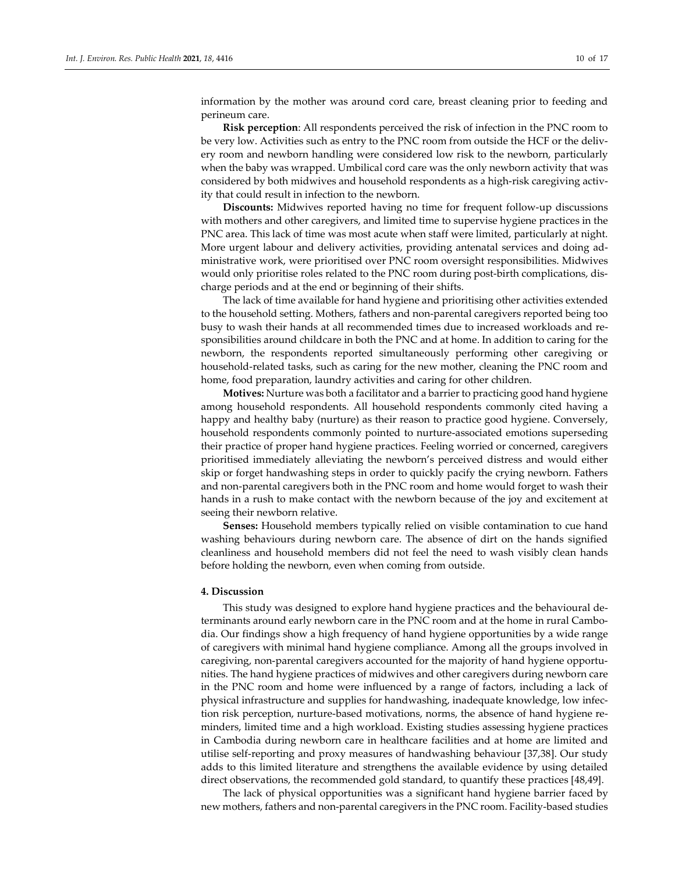information by the mother was around cord care, breast cleaning prior to feeding and perineum care.

**Risk perception**: All respondents perceived the risk of infection in the PNC room to be very low. Activities such as entry to the PNC room from outside the HCF or the delivery room and newborn handling were considered low risk to the newborn, particularly when the baby was wrapped. Umbilical cord care was the only newborn activity that was considered by both midwives and household respondents as a high-risk caregiving activity that could result in infection to the newborn.

**Discounts:** Midwives reported having no time for frequent follow-up discussions with mothers and other caregivers, and limited time to supervise hygiene practices in the PNC area. This lack of time was most acute when staff were limited, particularly at night. More urgent labour and delivery activities, providing antenatal services and doing administrative work, were prioritised over PNC room oversight responsibilities. Midwives would only prioritise roles related to the PNC room during post-birth complications, discharge periods and at the end or beginning of their shifts.

The lack of time available for hand hygiene and prioritising other activities extended to the household setting. Mothers, fathers and non-parental caregivers reported being too busy to wash their hands at all recommended times due to increased workloads and responsibilities around childcare in both the PNC and at home. In addition to caring for the newborn, the respondents reported simultaneously performing other caregiving or household-related tasks, such as caring for the new mother, cleaning the PNC room and home, food preparation, laundry activities and caring for other children.

**Motives:** Nurture was both a facilitator and a barrier to practicing good hand hygiene among household respondents. All household respondents commonly cited having a happy and healthy baby (nurture) as their reason to practice good hygiene. Conversely, household respondents commonly pointed to nurture-associated emotions superseding their practice of proper hand hygiene practices. Feeling worried or concerned, caregivers prioritised immediately alleviating the newborn's perceived distress and would either skip or forget handwashing steps in order to quickly pacify the crying newborn. Fathers and non-parental caregivers both in the PNC room and home would forget to wash their hands in a rush to make contact with the newborn because of the joy and excitement at seeing their newborn relative.

**Senses:** Household members typically relied on visible contamination to cue hand washing behaviours during newborn care. The absence of dirt on the hands signified cleanliness and household members did not feel the need to wash visibly clean hands before holding the newborn, even when coming from outside.

#### **4. Discussion**

This study was designed to explore hand hygiene practices and the behavioural determinants around early newborn care in the PNC room and at the home in rural Cambodia. Our findings show a high frequency of hand hygiene opportunities by a wide range of caregivers with minimal hand hygiene compliance. Among all the groups involved in caregiving, non-parental caregivers accounted for the majority of hand hygiene opportunities. The hand hygiene practices of midwives and other caregivers during newborn care in the PNC room and home were influenced by a range of factors, including a lack of physical infrastructure and supplies for handwashing, inadequate knowledge, low infection risk perception, nurture-based motivations, norms, the absence of hand hygiene reminders, limited time and a high workload. Existing studies assessing hygiene practices in Cambodia during newborn care in healthcare facilities and at home are limited and utilise self-reporting and proxy measures of handwashing behaviour [37,38]. Our study adds to this limited literature and strengthens the available evidence by using detailed direct observations, the recommended gold standard, to quantify these practices [48,49].

The lack of physical opportunities was a significant hand hygiene barrier faced by new mothers, fathers and non-parental caregivers in the PNC room. Facility-based studies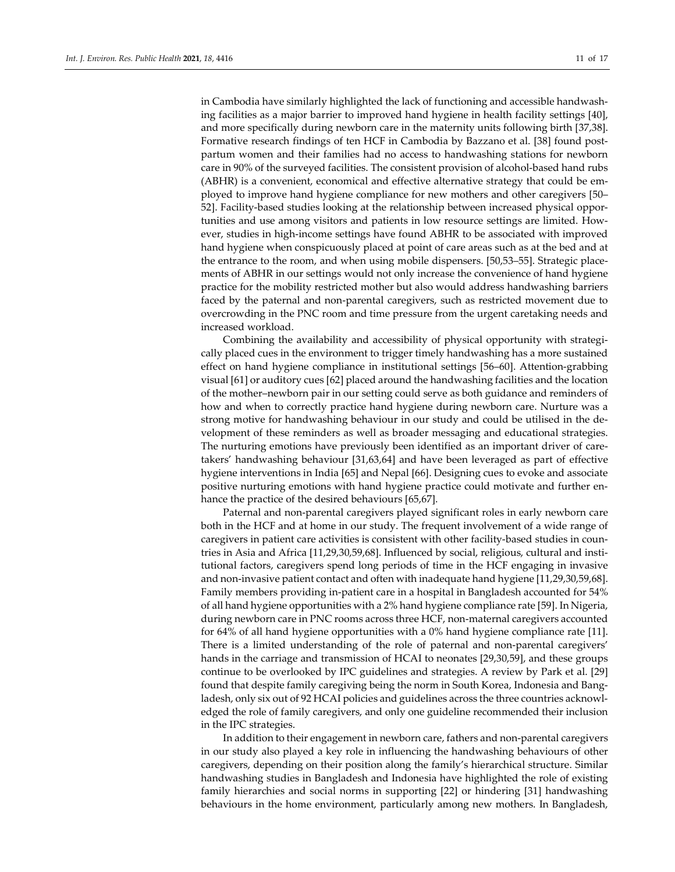in Cambodia have similarly highlighted the lack of functioning and accessible handwashing facilities as a major barrier to improved hand hygiene in health facility settings [40], and more specifically during newborn care in the maternity units following birth [37,38]. Formative research findings of ten HCF in Cambodia by Bazzano et al. [38] found postpartum women and their families had no access to handwashing stations for newborn care in 90% of the surveyed facilities. The consistent provision of alcohol-based hand rubs (ABHR) is a convenient, economical and effective alternative strategy that could be employed to improve hand hygiene compliance for new mothers and other caregivers [50– 52]. Facility-based studies looking at the relationship between increased physical opportunities and use among visitors and patients in low resource settings are limited. However, studies in high-income settings have found ABHR to be associated with improved hand hygiene when conspicuously placed at point of care areas such as at the bed and at the entrance to the room, and when using mobile dispensers. [50,53–55]. Strategic placements of ABHR in our settings would not only increase the convenience of hand hygiene practice for the mobility restricted mother but also would address handwashing barriers faced by the paternal and non-parental caregivers, such as restricted movement due to overcrowding in the PNC room and time pressure from the urgent caretaking needs and increased workload.

Combining the availability and accessibility of physical opportunity with strategically placed cues in the environment to trigger timely handwashing has a more sustained effect on hand hygiene compliance in institutional settings [56–60]. Attention-grabbing visual [61] or auditory cues [62] placed around the handwashing facilities and the location of the mother–newborn pair in our setting could serve as both guidance and reminders of how and when to correctly practice hand hygiene during newborn care. Nurture was a strong motive for handwashing behaviour in our study and could be utilised in the development of these reminders as well as broader messaging and educational strategies. The nurturing emotions have previously been identified as an important driver of caretakers' handwashing behaviour [31,63,64] and have been leveraged as part of effective hygiene interventions in India [65] and Nepal [66]. Designing cues to evoke and associate positive nurturing emotions with hand hygiene practice could motivate and further enhance the practice of the desired behaviours [65,67].

Paternal and non-parental caregivers played significant roles in early newborn care both in the HCF and at home in our study. The frequent involvement of a wide range of caregivers in patient care activities is consistent with other facility-based studies in countries in Asia and Africa [11,29,30,59,68]. Influenced by social, religious, cultural and institutional factors, caregivers spend long periods of time in the HCF engaging in invasive and non-invasive patient contact and often with inadequate hand hygiene [11,29,30,59,68]. Family members providing in-patient care in a hospital in Bangladesh accounted for 54% of all hand hygiene opportunities with a 2% hand hygiene compliance rate [59]. In Nigeria, during newborn care in PNC rooms across three HCF, non-maternal caregivers accounted for 64% of all hand hygiene opportunities with a 0% hand hygiene compliance rate [11]. There is a limited understanding of the role of paternal and non-parental caregivers' hands in the carriage and transmission of HCAI to neonates [29,30,59], and these groups continue to be overlooked by IPC guidelines and strategies. A review by Park et al. [29] found that despite family caregiving being the norm in South Korea, Indonesia and Bangladesh, only six out of 92 HCAI policies and guidelines across the three countries acknowledged the role of family caregivers, and only one guideline recommended their inclusion in the IPC strategies.

In addition to their engagement in newborn care, fathers and non-parental caregivers in our study also played a key role in influencing the handwashing behaviours of other caregivers, depending on their position along the family's hierarchical structure. Similar handwashing studies in Bangladesh and Indonesia have highlighted the role of existing family hierarchies and social norms in supporting [22] or hindering [31] handwashing behaviours in the home environment, particularly among new mothers. In Bangladesh,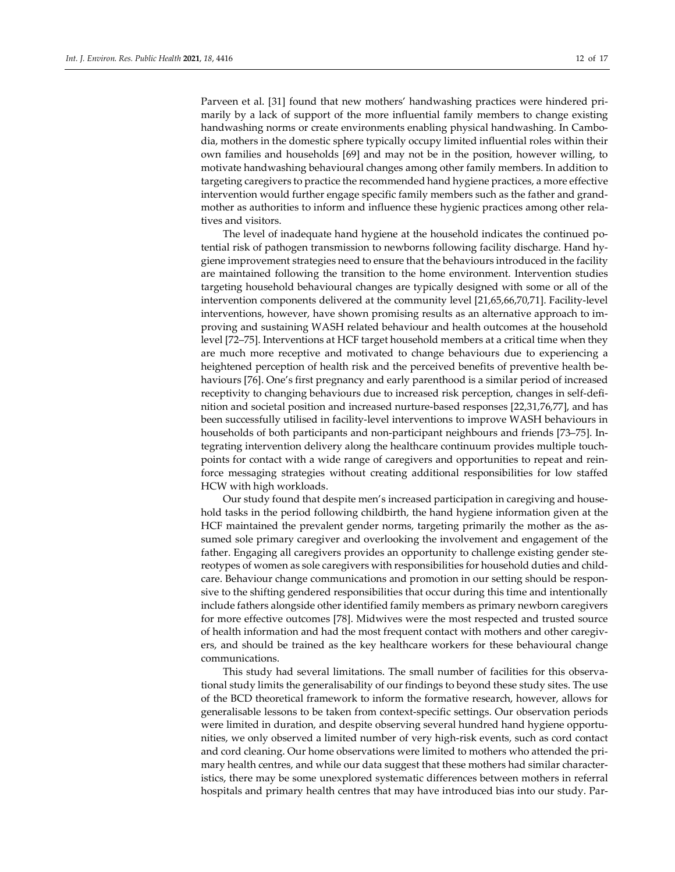Parveen et al. [31] found that new mothers' handwashing practices were hindered primarily by a lack of support of the more influential family members to change existing handwashing norms or create environments enabling physical handwashing. In Cambodia, mothers in the domestic sphere typically occupy limited influential roles within their own families and households [69] and may not be in the position, however willing, to motivate handwashing behavioural changes among other family members. In addition to targeting caregivers to practice the recommended hand hygiene practices, a more effective intervention would further engage specific family members such as the father and grandmother as authorities to inform and influence these hygienic practices among other relatives and visitors.

The level of inadequate hand hygiene at the household indicates the continued potential risk of pathogen transmission to newborns following facility discharge. Hand hygiene improvement strategies need to ensure that the behaviours introduced in the facility are maintained following the transition to the home environment. Intervention studies targeting household behavioural changes are typically designed with some or all of the intervention components delivered at the community level [21,65,66,70,71]. Facility-level interventions, however, have shown promising results as an alternative approach to improving and sustaining WASH related behaviour and health outcomes at the household level [72–75]. Interventions at HCF target household members at a critical time when they are much more receptive and motivated to change behaviours due to experiencing a heightened perception of health risk and the perceived benefits of preventive health behaviours [76]. One's first pregnancy and early parenthood is a similar period of increased receptivity to changing behaviours due to increased risk perception, changes in self-definition and societal position and increased nurture-based responses [22,31,76,77], and has been successfully utilised in facility-level interventions to improve WASH behaviours in households of both participants and non-participant neighbours and friends [73–75]. Integrating intervention delivery along the healthcare continuum provides multiple touchpoints for contact with a wide range of caregivers and opportunities to repeat and reinforce messaging strategies without creating additional responsibilities for low staffed HCW with high workloads.

Our study found that despite men's increased participation in caregiving and household tasks in the period following childbirth, the hand hygiene information given at the HCF maintained the prevalent gender norms, targeting primarily the mother as the assumed sole primary caregiver and overlooking the involvement and engagement of the father. Engaging all caregivers provides an opportunity to challenge existing gender stereotypes of women as sole caregivers with responsibilities for household duties and childcare. Behaviour change communications and promotion in our setting should be responsive to the shifting gendered responsibilities that occur during this time and intentionally include fathers alongside other identified family members as primary newborn caregivers for more effective outcomes [78]. Midwives were the most respected and trusted source of health information and had the most frequent contact with mothers and other caregivers, and should be trained as the key healthcare workers for these behavioural change communications.

This study had several limitations. The small number of facilities for this observational study limits the generalisability of our findings to beyond these study sites. The use of the BCD theoretical framework to inform the formative research, however, allows for generalisable lessons to be taken from context-specific settings. Our observation periods were limited in duration, and despite observing several hundred hand hygiene opportunities, we only observed a limited number of very high-risk events, such as cord contact and cord cleaning. Our home observations were limited to mothers who attended the primary health centres, and while our data suggest that these mothers had similar characteristics, there may be some unexplored systematic differences between mothers in referral hospitals and primary health centres that may have introduced bias into our study. Par-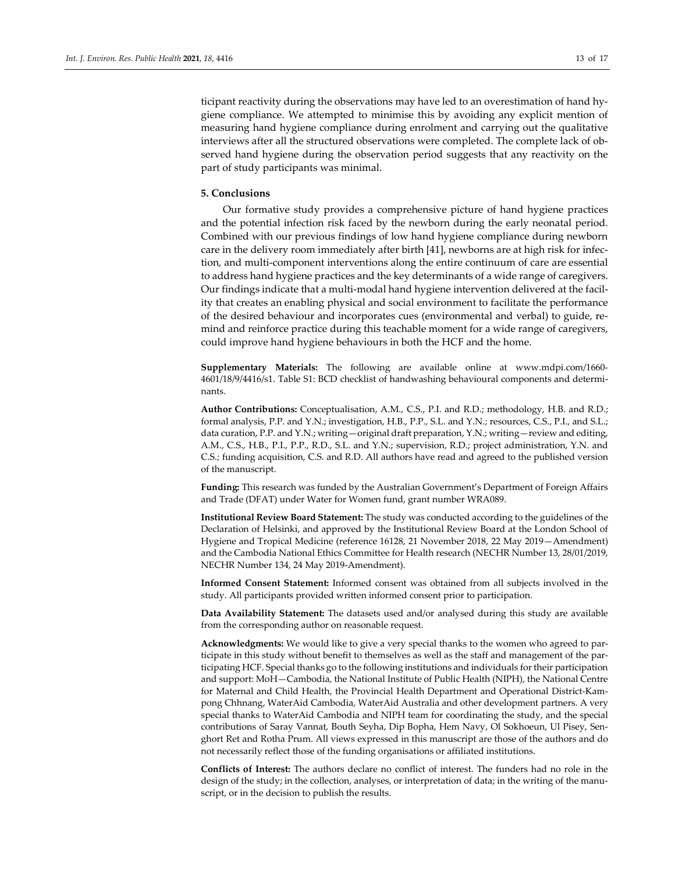ticipant reactivity during the observations may have led to an overestimation of hand hygiene compliance. We attempted to minimise this by avoiding any explicit mention of measuring hand hygiene compliance during enrolment and carrying out the qualitative interviews after all the structured observations were completed. The complete lack of observed hand hygiene during the observation period suggests that any reactivity on the part of study participants was minimal.

## **5. Conclusions**

Our formative study provides a comprehensive picture of hand hygiene practices and the potential infection risk faced by the newborn during the early neonatal period. Combined with our previous findings of low hand hygiene compliance during newborn care in the delivery room immediately after birth [41], newborns are at high risk for infection, and multi-component interventions along the entire continuum of care are essential to address hand hygiene practices and the key determinants of a wide range of caregivers. Our findings indicate that a multi-modal hand hygiene intervention delivered at the facility that creates an enabling physical and social environment to facilitate the performance of the desired behaviour and incorporates cues (environmental and verbal) to guide, remind and reinforce practice during this teachable moment for a wide range of caregivers, could improve hand hygiene behaviours in both the HCF and the home.

**Supplementary Materials:** The following are available online at www.mdpi.com/1660- 4601/18/9/4416/s1. Table S1: BCD checklist of handwashing behavioural components and determinants.

**Author Contributions:** Conceptualisation, A.M., C.S., P.I. and R.D.; methodology, H.B. and R.D.; formal analysis, P.P. and Y.N.; investigation, H.B., P.P., S.L. and Y.N.; resources, C.S., P.I., and S.L.; data curation, P.P. and Y.N.; writing—original draft preparation, Y.N.; writing—review and editing, A.M., C.S., H.B., P.I., P.P., R.D., S.L. and Y.N.; supervision, R.D.; project administration, Y.N. and C.S.; funding acquisition, C.S. and R.D. All authors have read and agreed to the published version of the manuscript.

**Funding:** This research was funded by the Australian Government's Department of Foreign Affairs and Trade (DFAT) under Water for Women fund, grant number WRA089.

**Institutional Review Board Statement:** The study was conducted according to the guidelines of the Declaration of Helsinki, and approved by the Institutional Review Board at the London School of Hygiene and Tropical Medicine (reference 16128, 21 November 2018, 22 May 2019—Amendment) and the Cambodia National Ethics Committee for Health research (NECHR Number 13, 28/01/2019, NECHR Number 134, 24 May 2019-Amendment).

**Informed Consent Statement:** Informed consent was obtained from all subjects involved in the study. All participants provided written informed consent prior to participation.

**Data Availability Statement:** The datasets used and/or analysed during this study are available from the corresponding author on reasonable request.

**Acknowledgments:** We would like to give a very special thanks to the women who agreed to participate in this study without benefit to themselves as well as the staff and management of the participating HCF. Special thanks go to the following institutions and individuals fortheir participation and support: MoH—Cambodia, the National Institute of Public Health (NIPH), the National Centre for Maternal and Child Health, the Provincial Health Department and Operational District-Kampong Chhnang, WaterAid Cambodia, WaterAid Australia and other development partners. A very special thanks to WaterAid Cambodia and NIPH team for coordinating the study, and the special contributions of Saray Vannat, Bouth Seyha, Dip Bopha, Hem Navy, Ol Sokhoeun, Ul Pisey, Senghort Ret and Rotha Prum. All views expressed in this manuscript are those of the authors and do not necessarily reflect those of the funding organisations or affiliated institutions.

**Conflicts of Interest:** The authors declare no conflict of interest. The funders had no role in the design of the study; in the collection, analyses, or interpretation of data; in the writing of the manuscript, or in the decision to publish the results.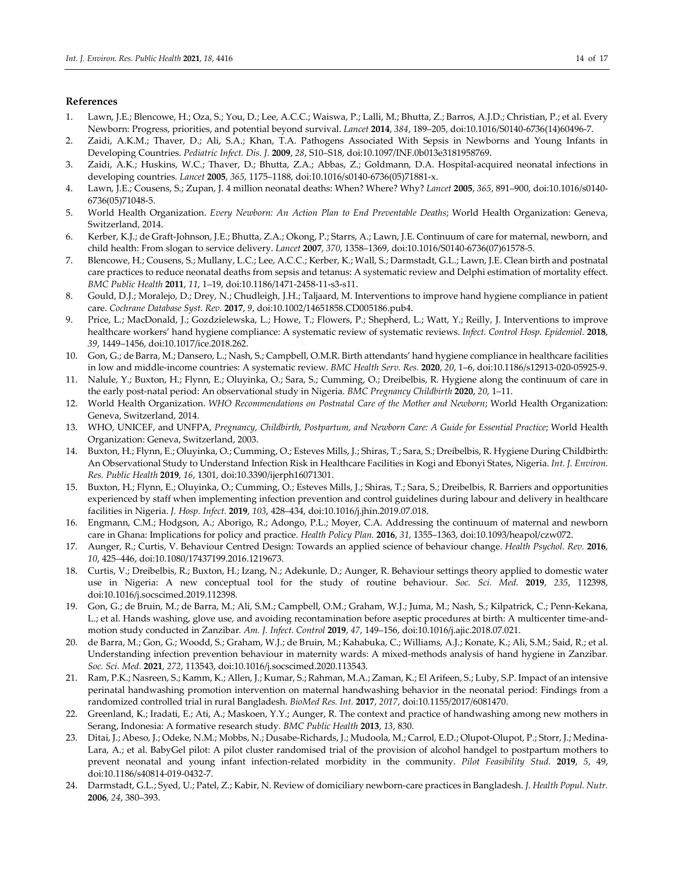## **References**

- 1. Lawn, J.E.; Blencowe, H.; Oza, S.; You, D.; Lee, A.C.C.; Waiswa, P.; Lalli, M.; Bhutta, Z.; Barros, A.J.D.; Christian, P.; et al. Every Newborn: Progress, priorities, and potential beyond survival. *Lancet* **2014**, *384*, 189–205, doi:10.1016/S0140-6736(14)60496-7.
- 2. Zaidi, A.K.M.; Thaver, D.; Ali, S.A.; Khan, T.A. Pathogens Associated With Sepsis in Newborns and Young Infants in Developing Countries. *Pediatric Infect. Dis. J.* **2009**, *28*, S10–S18, doi:10.1097/INF.0b013e3181958769.
- 3. Zaidi, A.K.; Huskins, W.C.; Thaver, D.; Bhutta, Z.A.; Abbas, Z.; Goldmann, D.A. Hospital-acquired neonatal infections in developing countries. *Lancet* **2005**, *365*, 1175–1188, doi:10.1016/s0140-6736(05)71881-x.
- 4. Lawn, J.E.; Cousens, S.; Zupan, J. 4 million neonatal deaths: When? Where? Why? *Lancet* **2005**, *365*, 891–900, doi:10.1016/s0140- 6736(05)71048-5.
- 5. World Health Organization. *Every Newborn: An Action Plan to End Preventable Deaths*; World Health Organization: Geneva, Switzerland, 2014.
- 6. Kerber, K.J.; de Graft-Johnson, J.E.; Bhutta, Z.A.; Okong, P.; Starrs, A.; Lawn, J.E. Continuum of care for maternal, newborn, and child health: From slogan to service delivery. *Lancet* **2007**, *370*, 1358–1369, doi:10.1016/S0140-6736(07)61578-5.
- 7. Blencowe, H.; Cousens, S.; Mullany, L.C.; Lee, A.C.C.; Kerber, K.; Wall, S.; Darmstadt, G.L.; Lawn, J.E. Clean birth and postnatal care practices to reduce neonatal deaths from sepsis and tetanus: A systematic review and Delphi estimation of mortality effect. *BMC Public Health* **2011**, *11*, 1–19, doi:10.1186/1471-2458-11-s3-s11.
- 8. Gould, D.J.; Moralejo, D.; Drey, N.; Chudleigh, J.H.; Taljaard, M. Interventions to improve hand hygiene compliance in patient care. *Cochrane Database Syst. Rev.* **2017**, *9*, doi:10.1002/14651858.CD005186.pub4.
- 9. Price, L.; MacDonald, J.; Gozdzielewska, L.; Howe, T.; Flowers, P.; Shepherd, L.; Watt, Y.; Reilly, J. Interventions to improve healthcare workers' hand hygiene compliance: A systematic review of systematic reviews. *Infect. Control Hosp. Epidemiol.* **2018**, *39*, 1449–1456, doi:10.1017/ice.2018.262.
- 10. Gon, G.; de Barra, M.; Dansero, L.; Nash, S.; Campbell, O.M.R. Birth attendants' hand hygiene compliance in healthcare facilities in low and middle-income countries: A systematic review. *BMC Health Serv. Res.* **2020**, *20*, 1–6, doi:10.1186/s12913-020-05925-9.
- 11. Nalule, Y.; Buxton, H.; Flynn, E.; Oluyinka, O.; Sara, S.; Cumming, O.; Dreibelbis, R. Hygiene along the continuum of care in the early post-natal period: An observational study in Nigeria. *BMC Pregnancy Childbirth* **2020**, *20*, 1–11.
- 12. World Health Organization. *WHO Recommendations on Postnatal Care of the Mother and Newborn*; World Health Organization: Geneva, Switzerland, 2014.
- 13. WHO, UNICEF, and UNFPA, *Pregnancy, Childbirth, Postpartum, and Newborn Care: A Guide for Essential Practice*; World Health Organization: Geneva, Switzerland, 2003.
- 14. Buxton, H.; Flynn, E.; Oluyinka, O.; Cumming, O.; Esteves Mills, J.; Shiras, T.; Sara, S.; Dreibelbis, R. Hygiene During Childbirth: An Observational Study to Understand Infection Risk in Healthcare Facilities in Kogi and Ebonyi States, Nigeria. *Int. J. Environ. Res. Public Health* **2019**, *16*, 1301, doi:10.3390/ijerph16071301.
- 15. Buxton, H.; Flynn, E.; Oluyinka, O.; Cumming, O.; Esteves Mills, J.; Shiras, T.; Sara, S.; Dreibelbis, R. Barriers and opportunities experienced by staff when implementing infection prevention and control guidelines during labour and delivery in healthcare facilities in Nigeria. *J. Hosp. Infect.* **2019**, *103*, 428–434, doi:10.1016/j.jhin.2019.07.018.
- 16. Engmann, C.M.; Hodgson, A.; Aborigo, R.; Adongo, P.L.; Moyer, C.A. Addressing the continuum of maternal and newborn care in Ghana: Implications for policy and practice. *Health Policy Plan.* **2016**, *31*, 1355–1363, doi:10.1093/heapol/czw072.
- 17. Aunger, R.; Curtis, V. Behaviour Centred Design: Towards an applied science of behaviour change. *Health Psychol. Rev.* **2016**, *10*, 425–446, doi:10.1080/17437199.2016.1219673.
- 18. Curtis, V.; Dreibelbis, R.; Buxton, H.; Izang, N.; Adekunle, D.; Aunger, R. Behaviour settings theory applied to domestic water use in Nigeria: A new conceptual tool for the study of routine behaviour. *Soc. Sci. Med.* **2019**, *235*, 112398, doi:10.1016/j.socscimed.2019.112398.
- 19. Gon, G.; de Bruin, M.; de Barra, M.; Ali, S.M.; Campbell, O.M.; Graham, W.J.; Juma, M.; Nash, S.; Kilpatrick, C.; Penn-Kekana, L.; et al. Hands washing, glove use, and avoiding recontamination before aseptic procedures at birth: A multicenter time-andmotion study conducted in Zanzibar*. Am. J. Infect. Control* **2019**, *47*, 149–156, doi:10.1016/j.ajic.2018.07.021.
- 20. de Barra, M.; Gon, G.; Woodd, S.; Graham, W.J.; de Bruin, M.; Kahabuka, C.; Williams, A.J.; Konate, K.; Ali, S.M.; Said, R.; et al. Understanding infection prevention behaviour in maternity wards: A mixed-methods analysis of hand hygiene in Zanzibar*. Soc. Sci. Med.* **2021**, *272*, 113543, doi:10.1016/j.socscimed.2020.113543.
- 21. Ram, P.K.; Nasreen, S.; Kamm, K.; Allen, J.; Kumar, S.; Rahman, M.A.; Zaman, K.; El Arifeen, S.; Luby, S.P. Impact of an intensive perinatal handwashing promotion intervention on maternal handwashing behavior in the neonatal period: Findings from a randomized controlled trial in rural Bangladesh. *BioMed Res. Int.* **2017**, *2017*, doi:10.1155/2017/6081470.
- 22. Greenland, K.; Iradati, E.; Ati, A.; Maskoen, Y.Y.; Aunger, R. The context and practice of handwashing among new mothers in Serang, Indonesia: A formative research study*. BMC Public Health* **2013**, *13*, 830.
- 23. Ditai, J.; Abeso, J.; Odeke, N.M.; Mobbs, N.; Dusabe-Richards, J.; Mudoola, M.; Carrol, E.D.; Olupot-Olupot, P.; Storr, J.; Medina-Lara, A.; et al. BabyGel pilot: A pilot cluster randomised trial of the provision of alcohol handgel to postpartum mothers to prevent neonatal and young infant infection-related morbidity in the community. *Pilot Feasibility Stud.* **2019**, *5*, 49, doi:10.1186/s40814-019-0432-7.
- 24. Darmstadt, G.L.; Syed, U.; Patel, Z.; Kabir, N. Review of domiciliary newborn-care practices in Bangladesh. *J. Health Popul. Nutr.* **2006**, *24*, 380–393.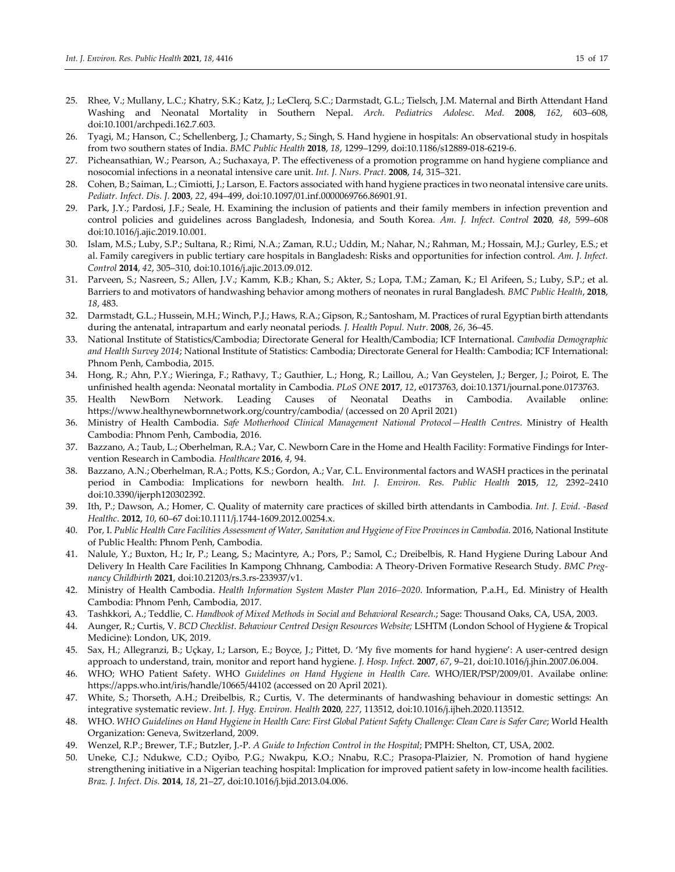- 25. Rhee, V.; Mullany, L.C.; Khatry, S.K.; Katz, J.; LeClerq, S.C.; Darmstadt, G.L.; Tielsch, J.M. Maternal and Birth Attendant Hand Washing and Neonatal Mortality in Southern Nepal. *Arch. Pediatrics Adolesc. Med.* **2008**, *162*, 603–608, doi:10.1001/archpedi.162.7.603.
- 26. Tyagi, M.; Hanson, C.; Schellenberg, J.; Chamarty, S.; Singh, S. Hand hygiene in hospitals: An observational study in hospitals from two southern states of India. *BMC Public Health* **2018**, *18*, 1299–1299, doi:10.1186/s12889-018-6219-6.
- 27. Picheansathian, W.; Pearson, A.; Suchaxaya, P. The effectiveness of a promotion programme on hand hygiene compliance and nosocomial infections in a neonatal intensive care unit. *Int. J. Nurs. Pract.* **2008**, *14*, 315–321.
- 28. Cohen, B.; Saiman, L.; Cimiotti, J.; Larson, E. Factors associated with hand hygiene practices in two neonatal intensive care units. *Pediatr. Infect. Dis. J.* **2003**, *22*, 494–499, doi:10.1097/01.inf.0000069766.86901.91.
- 29. Park, J.Y.; Pardosi, J.F.; Seale, H. Examining the inclusion of patients and their family members in infection prevention and control policies and guidelines across Bangladesh, Indonesia, and South Korea*. Am. J. Infect. Control* **2020***, 48*, 599–608 doi:10.1016/j.ajic.2019.10.001.
- 30. Islam, M.S.; Luby, S.P.; Sultana, R.; Rimi, N.A.; Zaman, R.U.; Uddin, M.; Nahar, N.; Rahman, M.; Hossain, M.J.; Gurley, E.S.; et al. Family caregivers in public tertiary care hospitals in Bangladesh: Risks and opportunities for infection control*. Am. J. Infect. Control* **2014**, *42*, 305–310, doi:10.1016/j.ajic.2013.09.012.
- 31. Parveen, S.; Nasreen, S.; Allen, J.V.; Kamm, K.B.; Khan, S.; Akter, S.; Lopa, T.M.; Zaman, K.; El Arifeen, S.; Luby, S.P.; et al. Barriers to and motivators of handwashing behavior among mothers of neonates in rural Bangladesh*. BMC Public Health*, **2018**, *18*, 483.
- 32. Darmstadt, G.L.; Hussein, M.H.; Winch, P.J.; Haws, R.A.; Gipson, R.; Santosham, M. Practices of rural Egyptian birth attendants during the antenatal, intrapartum and early neonatal periods*. J. Health Popul. Nutr*. **2008**, *26*, 36–45.
- 33. National Institute of Statistics/Cambodia; Directorate General for Health/Cambodia; ICF International. *Cambodia Demographic and Health Survey 2014*; National Institute of Statistics: Cambodia; Directorate General for Health: Cambodia; ICF International: Phnom Penh, Cambodia, 2015.
- 34. Hong, R.; Ahn, P.Y.; Wieringa, F.; Rathavy, T.; Gauthier, L.; Hong, R.; Laillou, A.; Van Geystelen, J.; Berger, J.; Poirot, E. The unfinished health agenda: Neonatal mortality in Cambodia. *PLoS ONE* **2017**, *12*, e0173763, doi:10.1371/journal.pone.0173763.
- 35. Health NewBorn Network. Leading Causes of Neonatal Deaths in Cambodia. Available online: https://www.healthynewbornnetwork.org/country/cambodia/ (accessed on 20 April 2021)
- 36. Ministry of Health Cambodia. *Safe Motherhood Clinical Management National Protocol—Health Centres*. Ministry of Health Cambodia: Phnom Penh, Cambodia, 2016.
- 37. Bazzano, A.; Taub, L.; Oberhelman, R.A.; Var, C. Newborn Care in the Home and Health Facility: Formative Findings for Intervention Research in Cambodia*. Healthcare* **2016**, *4*, 94.
- 38. Bazzano, A.N.; Oberhelman, R.A.; Potts, K.S.; Gordon, A.; Var, C.L. Environmental factors and WASH practices in the perinatal period in Cambodia: Implications for newborn health*. Int. J. Environ. Res. Public Health* **2015**, *12*, 2392–2410 doi:10.3390/ijerph120302392.
- 39. Ith, P.; Dawson, A.; Homer, C. Quality of maternity care practices of skilled birth attendants in Cambodia*. Int. J. Evid. -Based Healthc*. **2012**, *10*, 60–67 doi:10.1111/j.1744-1609.2012.00254.x.
- 40. Por, I. *Public Health Care Facilities Assessment of Water, Sanitation and Hygiene of Five Provinces in Cambodia*. 2016, National Institute of Public Health: Phnom Penh, Cambodia.
- 41. Nalule, Y.; Buxton, H.; Ir, P.; Leang, S.; Macintyre, A.; Pors, P.; Samol, C.; Dreibelbis, R. Hand Hygiene During Labour And Delivery In Health Care Facilities In Kampong Chhnang, Cambodia: A Theory-Driven Formative Research Study. *BMC Pregnancy Childbirth* **2021**, doi:10.21203/rs.3.rs-233937/v1.
- 42. Ministry of Health Cambodia. *Health Information System Master Plan 2016–2020*. Information, P.a.H., Ed. Ministry of Health Cambodia: Phnom Penh, Cambodia, 2017.
- 43. Tashkkori, A.; Teddlie, C. *Handbook of Mixed Methods in Social and Behavioral Research*.; Sage: Thousand Oaks, CA, USA, 2003.
- 44. Aunger, R.; Curtis, V. *BCD Checklist*. *Behaviour Centred Design Resources Website;* LSHTM (London School of Hygiene & Tropical Medicine): London, UK, 2019.
- 45. Sax, H.; Allegranzi, B.; Uçkay, I.; Larson, E.; Boyce, J.; Pittet, D. 'My five moments for hand hygiene': A user-centred design approach to understand, train, monitor and report hand hygiene. *J. Hosp. Infect.* **2007**, *67*, 9–21, doi:10.1016/j.jhin.2007.06.004.
- 46. WHO; WHO Patient Safety. WHO *Guidelines on Hand Hygiene in Health Care*. WHO/IER/PSP/2009/01. Availabe online: https://apps.who.int/iris/handle/10665/44102 (accessed on 20 April 2021).
- 47. White, S.; Thorseth, A.H.; Dreibelbis, R.; Curtis, V. The determinants of handwashing behaviour in domestic settings: An integrative systematic review. *Int. J. Hyg. Environ. Health* **2020**, *227*, 113512, doi:10.1016/j.ijheh.2020.113512.
- 48. WHO. *WHO Guidelines on Hand Hygiene in Health Care: First Global Patient Safety Challenge: Clean Care is Safer Care*; World Health Organization: Geneva, Switzerland, 2009.
- 49. Wenzel, R.P.; Brewer, T.F.; Butzler, J.-P. *A Guide to Infection Control in the Hospital*; PMPH: Shelton, CT, USA, 2002.
- 50. Uneke, C.J.; Ndukwe, C.D.; Oyibo, P.G.; Nwakpu, K.O.; Nnabu, R.C.; Prasopa-Plaizier, N. Promotion of hand hygiene strengthening initiative in a Nigerian teaching hospital: Implication for improved patient safety in low-income health facilities. *Braz. J. Infect. Dis.* **2014**, *18*, 21–27, doi:10.1016/j.bjid.2013.04.006.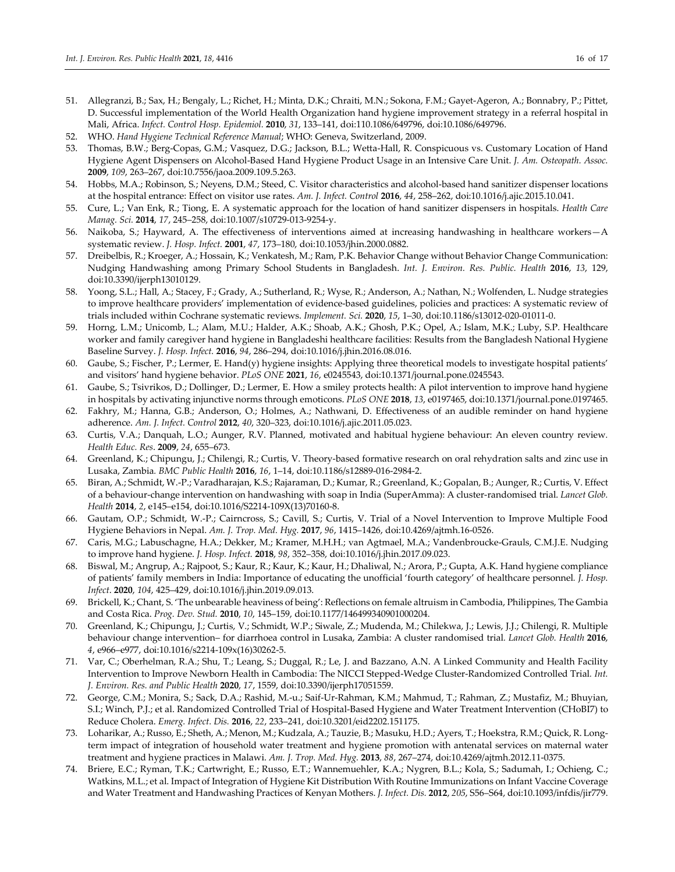- 51. Allegranzi, B.; Sax, H.; Bengaly, L.; Richet, H.; Minta, D.K.; Chraiti, M.N.; Sokona, F.M.; Gayet-Ageron, A.; Bonnabry, P.; Pittet, D. Successful implementation of the World Health Organization hand hygiene improvement strategy in a referral hospital in Mali, Africa. *Infect. Control Hosp. Epidemiol.* **2010**, *31*, 133–141, doi:110.1086/649796, doi:10.1086/649796.
- 52. WHO. *Hand Hygiene Technical Reference Manual*; WHO: Geneva, Switzerland, 2009.
- 53. Thomas, B.W.; Berg-Copas, G.M.; Vasquez, D.G.; Jackson, B.L.; Wetta-Hall, R. Conspicuous vs. Customary Location of Hand Hygiene Agent Dispensers on Alcohol-Based Hand Hygiene Product Usage in an Intensive Care Unit. *J. Am. Osteopath. Assoc.*  **2009**, *109*, 263–267, doi:10.7556/jaoa.2009.109.5.263.
- 54. Hobbs, M.A.; Robinson, S.; Neyens, D.M.; Steed, C. Visitor characteristics and alcohol-based hand sanitizer dispenser locations at the hospital entrance: Effect on visitor use rates. *Am. J. Infect. Control* **2016**, *44*, 258–262, doi:10.1016/j.ajic.2015.10.041.
- 55. Cure, L.; Van Enk, R.; Tiong, E. A systematic approach for the location of hand sanitizer dispensers in hospitals. *Health Care Manag. Sci.* **2014**, *17*, 245–258, doi:10.1007/s10729-013-9254-y.
- 56. Naikoba, S.; Hayward, A. The effectiveness of interventions aimed at increasing handwashing in healthcare workers—A systematic review. *J. Hosp. Infect.* **2001**, *47*, 173–180, doi:10.1053/jhin.2000.0882.
- 57. Dreibelbis, R.; Kroeger, A.; Hossain, K.; Venkatesh, M.; Ram, P.K. Behavior Change without Behavior Change Communication: Nudging Handwashing among Primary School Students in Bangladesh. *Int. J. Environ. Res. Public. Health* **2016**, *13*, 129, doi:10.3390/ijerph13010129.
- 58. Yoong, S.L.; Hall, A.; Stacey, F.; Grady, A.; Sutherland, R.; Wyse, R.; Anderson, A.; Nathan, N.; Wolfenden, L. Nudge strategies to improve healthcare providers' implementation of evidence-based guidelines, policies and practices: A systematic review of trials included within Cochrane systematic reviews. *Implement. Sci.* **2020**, *15*, 1–30, doi:10.1186/s13012-020-01011-0.
- 59. Horng, L.M.; Unicomb, L.; Alam, M.U.; Halder, A.K.; Shoab, A.K.; Ghosh, P.K.; Opel, A.; Islam, M.K.; Luby, S.P. Healthcare worker and family caregiver hand hygiene in Bangladeshi healthcare facilities: Results from the Bangladesh National Hygiene Baseline Survey. *J. Hosp. Infect.* **2016**, *94*, 286–294, doi:10.1016/j.jhin.2016.08.016.
- 60. Gaube, S.; Fischer, P.; Lermer, E. Hand(y) hygiene insights: Applying three theoretical models to investigate hospital patients' and visitors' hand hygiene behavior. *PLoS ONE* **2021**, *16*, e0245543, doi:10.1371/journal.pone.0245543.
- 61. Gaube, S.; Tsivrikos, D.; Dollinger, D.; Lermer, E. How a smiley protects health: A pilot intervention to improve hand hygiene in hospitals by activating injunctive norms through emoticons. *PLoS ONE* **2018**, *13*, e0197465, doi:10.1371/journal.pone.0197465.
- 62. Fakhry, M.; Hanna, G.B.; Anderson, O.; Holmes, A.; Nathwani, D. Effectiveness of an audible reminder on hand hygiene adherence. *Am. J. Infect. Control* **2012**, *40*, 320–323, doi:10.1016/j.ajic.2011.05.023.
- 63. Curtis, V.A.; Danquah, L.O.; Aunger, R.V. Planned, motivated and habitual hygiene behaviour: An eleven country review*. Health Educ. Res*. **2009**, *24*, 655–673.
- 64. Greenland, K.; Chipungu, J.; Chilengi, R.; Curtis, V. Theory-based formative research on oral rehydration salts and zinc use in Lusaka, Zambia*. BMC Public Health* **2016**, *16*, 1–14, doi:10.1186/s12889-016-2984-2.
- 65. Biran, A.; Schmidt, W.-P.; Varadharajan, K.S.; Rajaraman, D.; Kumar, R.; Greenland, K.; Gopalan, B.; Aunger, R.; Curtis, V. Effect of a behaviour-change intervention on handwashing with soap in India (SuperAmma): A cluster-randomised trial. *Lancet Glob. Health* **2014**, *2*, e145–e154, doi:10.1016/S2214-109X(13)70160-8.
- 66. Gautam, O.P.; Schmidt, W.-P.; Cairncross, S.; Cavill, S.; Curtis, V. Trial of a Novel Intervention to Improve Multiple Food Hygiene Behaviors in Nepal. *Am. J. Trop. Med. Hyg.* **2017**, *96*, 1415–1426, doi:10.4269/ajtmh.16-0526.
- 67. Caris, M.G.; Labuschagne, H.A.; Dekker, M.; Kramer, M.H.H.; van Agtmael, M.A.; Vandenbroucke-Grauls, C.M.J.E. Nudging to improve hand hygiene. *J. Hosp. Infect.* **2018**, *98*, 352–358, doi:10.1016/j.jhin.2017.09.023.
- 68. Biswal, M.; Angrup, A.; Rajpoot, S.; Kaur, R.; Kaur, K.; Kaur, H.; Dhaliwal, N.; Arora, P.; Gupta, A.K. Hand hygiene compliance of patients' family members in India: Importance of educating the unofficial 'fourth category' of healthcare personnel*. J. Hosp. Infect*. **2020**, *104*, 425–429, doi:10.1016/j.jhin.2019.09.013.
- 69. Brickell, K.; Chant, S. 'The unbearable heaviness of being': Reflections on female altruism in Cambodia, Philippines, The Gambia and Costa Rica. *Prog. Dev. Stud.* **2010**, *10*, 145–159, doi:10.1177/146499340901000204.
- 70. Greenland, K.; Chipungu, J.; Curtis, V.; Schmidt, W.P.; Siwale, Z.; Mudenda, M.; Chilekwa, J.; Lewis, J.J.; Chilengi, R. Multiple behaviour change intervention– for diarrhoea control in Lusaka, Zambia: A cluster randomised trial*. Lancet Glob. Health* **2016**, *4*, e966–e977, doi:10.1016/s2214-109x(16)30262-5.
- 71. Var, C.; Oberhelman, R.A.; Shu, T.; Leang, S.; Duggal, R.; Le, J. and Bazzano, A.N. A Linked Community and Health Facility Intervention to Improve Newborn Health in Cambodia: The NICCI Stepped-Wedge Cluster-Randomized Controlled Trial*. Int. J. Environ. Res. and Public Health* **2020**, *17*, 1559, doi:10.3390/ijerph17051559.
- 72. George, C.M.; Monira, S.; Sack, D.A.; Rashid, M.-u.; Saif-Ur-Rahman, K.M.; Mahmud, T.; Rahman, Z.; Mustafiz, M.; Bhuyian, S.I.; Winch, P.J.; et al. Randomized Controlled Trial of Hospital-Based Hygiene and Water Treatment Intervention (CHoBI7) to Reduce Cholera. *Emerg. Infect. Dis.* **2016**, *22*, 233–241, doi:10.3201/eid2202.151175.
- 73. Loharikar, A.; Russo, E.; Sheth, A.; Menon, M.; Kudzala, A.; Tauzie, B.; Masuku, H.D.; Ayers, T.; Hoekstra, R.M.; Quick, R. Longterm impact of integration of household water treatment and hygiene promotion with antenatal services on maternal water treatment and hygiene practices in Malawi. *Am. J. Trop. Med. Hyg.* **2013**, *88*, 267–274, doi:10.4269/ajtmh.2012.11-0375.
- 74. Briere, E.C.; Ryman, T.K.; Cartwright, E.; Russo, E.T.; Wannemuehler, K.A.; Nygren, B.L.; Kola, S.; Sadumah, I.; Ochieng, C.; Watkins, M.L.; et al. Impact of Integration of Hygiene Kit Distribution With Routine Immunizations on Infant Vaccine Coverage and Water Treatment and Handwashing Practices of Kenyan Mothers. *J. Infect. Dis.* **2012**, *205*, S56–S64, doi:10.1093/infdis/jir779.